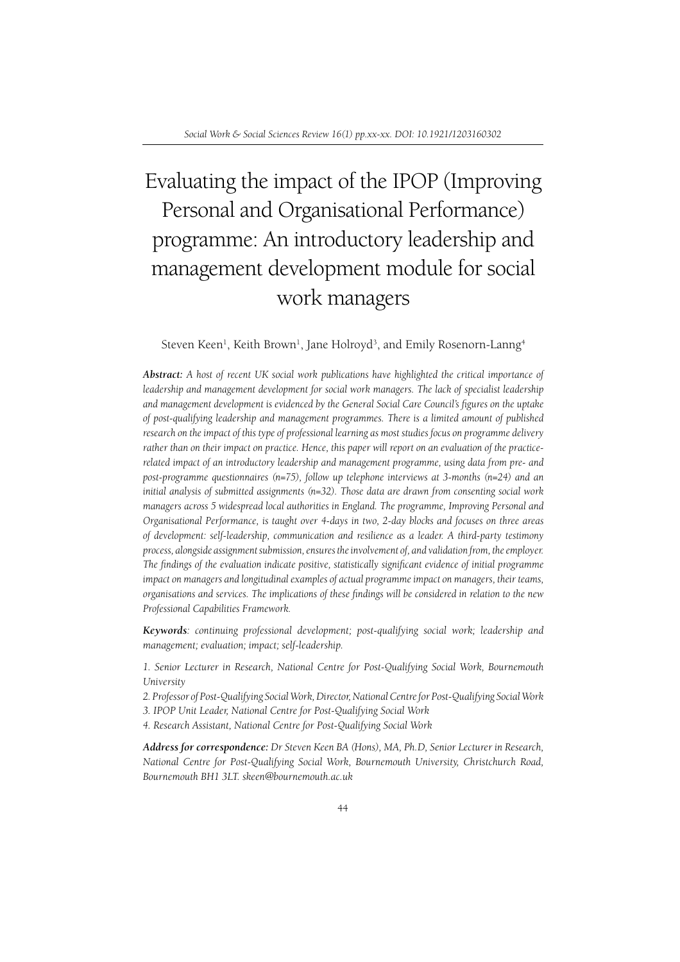# Evaluating the impact of the IPOP (Improving Personal and Organisational Performance) programme: An introductory leadership and management development module for social work managers

Steven Keen<sup>1</sup>, Keith Brown<sup>1</sup>, Jane Holroyd<sup>3</sup>, and Emily Rosenorn-Lanng<sup>4</sup>

*Abstract: A host of recent UK social work publications have highlighted the critical importance of leadership and management development for social work managers. The lack of specialist leadership*  and management development is evidenced by the General Social Care Council's figures on the uptake *of post-qualifying leadership and management programmes. There is a limited amount of published research on the impact of this type of professional learning as most studies focus on programme delivery rather than on their impact on practice. Hence, this paper will report on an evaluation of the practicerelated impact of an introductory leadership and management programme, using data from pre- and post-programme questionnaires (n=75), follow up telephone interviews at 3-months (n=24) and an initial analysis of submitted assignments (n=32). Those data are drawn from consenting social work managers across 5 widespread local authorities in England. The programme, Improving Personal and Organisational Performance, is taught over 4-days in two, 2-day blocks and focuses on three areas of development: self-leadership, communication and resilience as a leader. A third-party testimony process, alongside assignment submission, ensures the involvement of, and validation from, the employer. The findings of the evaluation indicate positive, statistically significant evidence of initial programme impact on managers and longitudinal examples of actual programme impact on managers, their teams,*  organisations and services. The implications of these findings will be considered in relation to the new *Professional Capabilities Framework.*

*Keywords: continuing professional development; post-qualifying social work; leadership and management; evaluation; impact; self-leadership.*

*1. Senior Lecturer in Research, National Centre for Post-Qualifying Social Work, Bournemouth University*

*2. Professor of Post-Qualifying Social Work, Director, National Centre for Post-Qualifying Social Work*

*3. IPOP Unit Leader, National Centre for Post-Qualifying Social Work*

*4. Research Assistant, National Centre for Post-Qualifying Social Work*

*Address for correspondence: Dr Steven Keen BA (Hons), MA, Ph.D, Senior Lecturer in Research, National Centre for Post-Qualifying Social Work, Bournemouth University, Christchurch Road, Bournemouth BH1 3LT. skeen@bournemouth.ac.uk*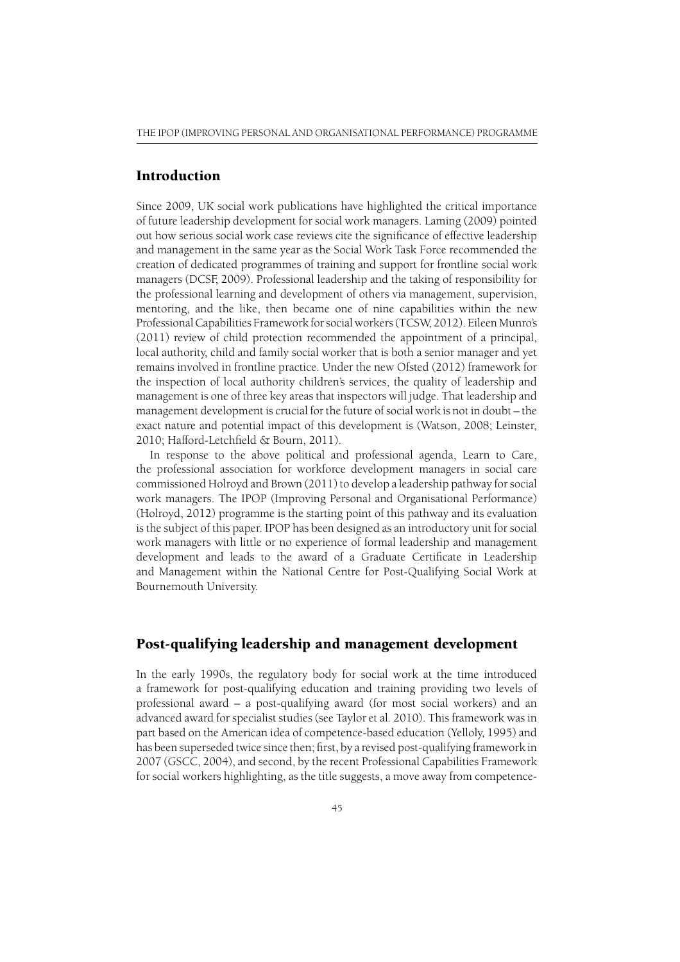## Introduction

Since 2009, UK social work publications have highlighted the critical importance of future leadership development for social work managers. Laming (2009) pointed out how serious social work case reviews cite the significance of effective leadership and management in the same year as the Social Work Task Force recommended the creation of dedicated programmes of training and support for frontline social work managers (DCSF, 2009). Professional leadership and the taking of responsibility for the professional learning and development of others via management, supervision, mentoring, and the like, then became one of nine capabilities within the new Professional Capabilities Framework for social workers (TCSW, 2012). Eileen Munro's (2011) review of child protection recommended the appointment of a principal, local authority, child and family social worker that is both a senior manager and yet remains involved in frontline practice. Under the new Ofsted (2012) framework for the inspection of local authority children's services, the quality of leadership and management is one of three key areas that inspectors will judge. That leadership and management development is crucial for the future of social work is not in doubt – the exact nature and potential impact of this development is (Watson, 2008; Leinster, 2010; Hafford-Letchfield & Bourn, 2011).

In response to the above political and professional agenda, Learn to Care, the professional association for workforce development managers in social care commissioned Holroyd and Brown (2011) to develop a leadership pathway for social work managers. The IPOP (Improving Personal and Organisational Performance) (Holroyd, 2012) programme is the starting point of this pathway and its evaluation is the subject of this paper. IPOP has been designed as an introductory unit for social work managers with little or no experience of formal leadership and management development and leads to the award of a Graduate Certificate in Leadership and Management within the National Centre for Post-Qualifying Social Work at Bournemouth University.

## Post-qualifying leadership and management development

In the early 1990s, the regulatory body for social work at the time introduced a framework for post-qualifying education and training providing two levels of professional award – a post-qualifying award (for most social workers) and an advanced award for specialist studies (see Taylor et al*.* 2010). This framework was in part based on the American idea of competence-based education (Yelloly, 1995) and has been superseded twice since then; first, by a revised post-qualifying framework in 2007 (GSCC, 2004), and second, by the recent Professional Capabilities Framework for social workers highlighting, as the title suggests, a move away from competence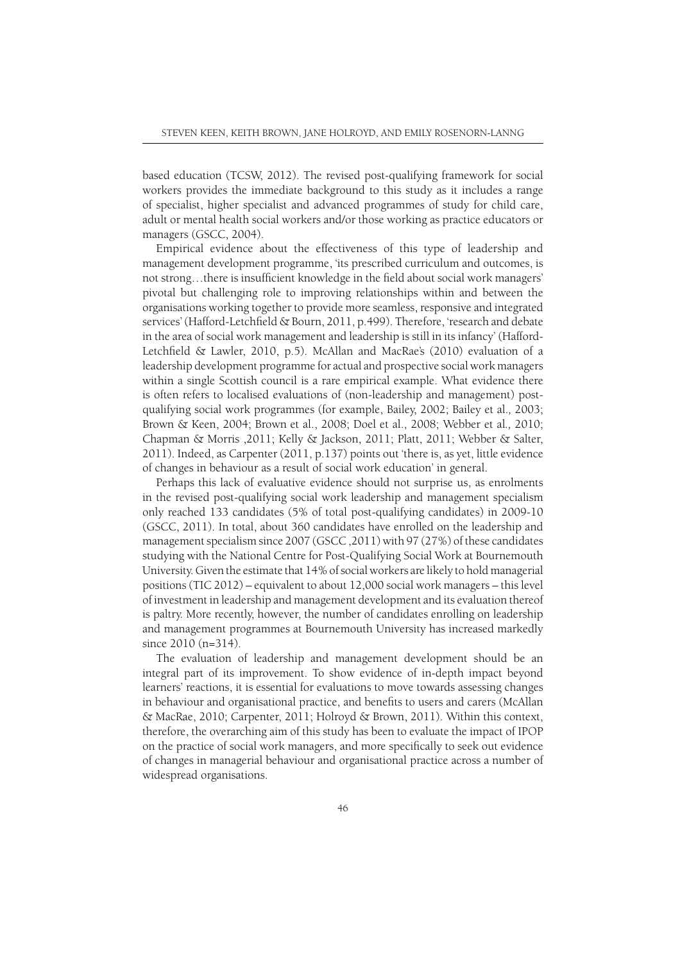based education (TCSW, 2012). The revised post-qualifying framework for social workers provides the immediate background to this study as it includes a range of specialist, higher specialist and advanced programmes of study for child care, adult or mental health social workers and/or those working as practice educators or managers (GSCC, 2004).

Empirical evidence about the effectiveness of this type of leadership and management development programme, 'its prescribed curriculum and outcomes, is not strong...there is insufficient knowledge in the field about social work managers' pivotal but challenging role to improving relationships within and between the organisations working together to provide more seamless, responsive and integrated services' (Hafford-Letchfield & Bourn, 2011, p.499). Therefore, 'research and debate in the area of social work management and leadership is still in its infancy' (Hafford-Letchfield & Lawler, 2010, p.5). McAllan and MacRae's (2010) evaluation of a leadership development programme for actual and prospective social work managers within a single Scottish council is a rare empirical example. What evidence there is often refers to localised evaluations of (non-leadership and management) postqualifying social work programmes (for example, Bailey, 2002; Bailey et al.*,* 2003; Brown & Keen, 2004; Brown et al., 2008; Doel et al., 2008; Webber et al*.,* 2010; Chapman & Morris ,2011; Kelly & Jackson, 2011; Platt, 2011; Webber & Salter, 2011). Indeed, as Carpenter (2011, p.137) points out 'there is, as yet, little evidence of changes in behaviour as a result of social work education' in general.

Perhaps this lack of evaluative evidence should not surprise us, as enrolments in the revised post-qualifying social work leadership and management specialism only reached 133 candidates (5% of total post-qualifying candidates) in 2009-10 (GSCC, 2011). In total, about 360 candidates have enrolled on the leadership and management specialism since 2007 (GSCC ,2011) with 97 (27%) of these candidates studying with the National Centre for Post-Qualifying Social Work at Bournemouth University. Given the estimate that 14% of social workers are likely to hold managerial positions (TIC 2012) – equivalent to about 12,000 social work managers – this level of investment in leadership and management development and its evaluation thereof is paltry. More recently, however, the number of candidates enrolling on leadership and management programmes at Bournemouth University has increased markedly since 2010 (n=314).

The evaluation of leadership and management development should be an integral part of its improvement. To show evidence of in-depth impact beyond learners' reactions, it is essential for evaluations to move towards assessing changes in behaviour and organisational practice, and benefits to users and carers (McAllan & MacRae, 2010; Carpenter, 2011; Holroyd & Brown, 2011). Within this context, therefore, the overarching aim of this study has been to evaluate the impact of IPOP on the practice of social work managers, and more specifically to seek out evidence of changes in managerial behaviour and organisational practice across a number of widespread organisations.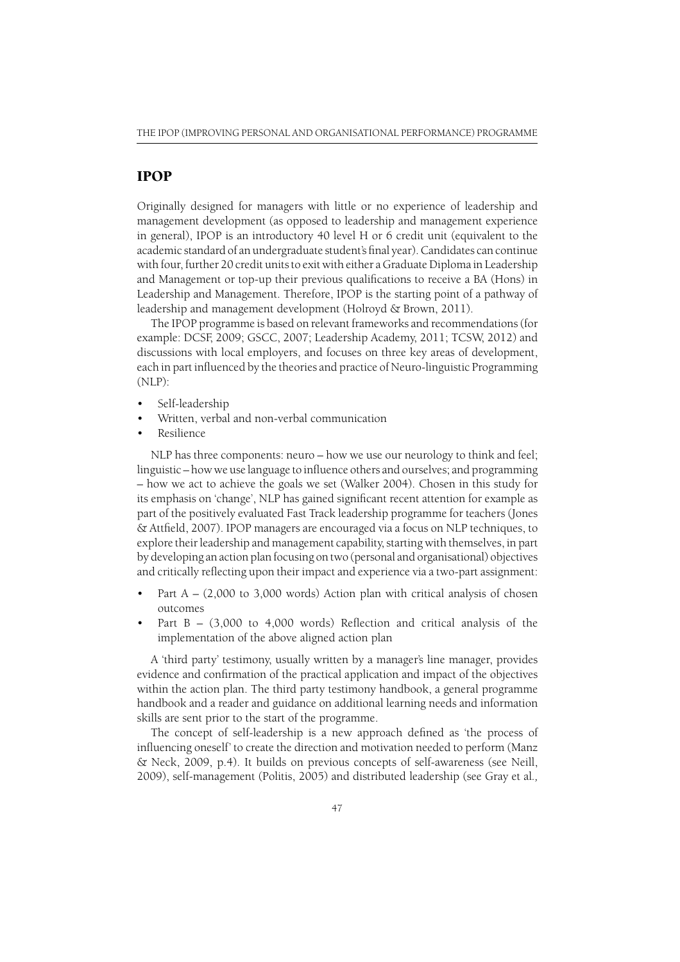## IPOP

Originally designed for managers with little or no experience of leadership and management development (as opposed to leadership and management experience in general), IPOP is an introductory 40 level H or 6 credit unit (equivalent to the academic standard of an undergraduate student's final year). Candidates can continue with four, further 20 credit units to exit with either a Graduate Diploma in Leadership and Management or top-up their previous qualifications to receive a BA (Hons) in Leadership and Management. Therefore, IPOP is the starting point of a pathway of leadership and management development (Holroyd & Brown, 2011).

The IPOP programme is based on relevant frameworks and recommendations (for example: DCSF, 2009; GSCC, 2007; Leadership Academy, 2011; TCSW, 2012) and discussions with local employers, and focuses on three key areas of development, each in part influenced by the theories and practice of Neuro-linguistic Programming (NLP):

- Self-leadership
- Written, verbal and non-verbal communication
- Resilience

NLP has three components: neuro – how we use our neurology to think and feel; linguistic – how we use language to influence others and ourselves; and programming – how we act to achieve the goals we set (Walker 2004). Chosen in this study for its emphasis on 'change', NLP has gained significant recent attention for example as part of the positively evaluated Fast Track leadership programme for teachers (Jones & Attfield, 2007). IPOP managers are encouraged via a focus on NLP techniques, to explore their leadership and management capability, starting with themselves, in part by developing an action plan focusing on two (personal and organisational) objectives and critically reflecting upon their impact and experience via a two-part assignment:

- Part  $A (2,000 \text{ to } 3,000 \text{ words})$  Action plan with critical analysis of chosen outcomes
- Part  $B (3,000)$  to 4,000 words) Reflection and critical analysis of the implementation of the above aligned action plan

A 'third party' testimony, usually written by a manager's line manager, provides evidence and confirmation of the practical application and impact of the objectives within the action plan. The third party testimony handbook, a general programme handbook and a reader and guidance on additional learning needs and information skills are sent prior to the start of the programme.

The concept of self-leadership is a new approach defined as 'the process of influencing oneself' to create the direction and motivation needed to perform (Manz & Neck, 2009, p.4). It builds on previous concepts of self-awareness (see Neill, 2009), self-management (Politis, 2005) and distributed leadership (see Gray et al*.,*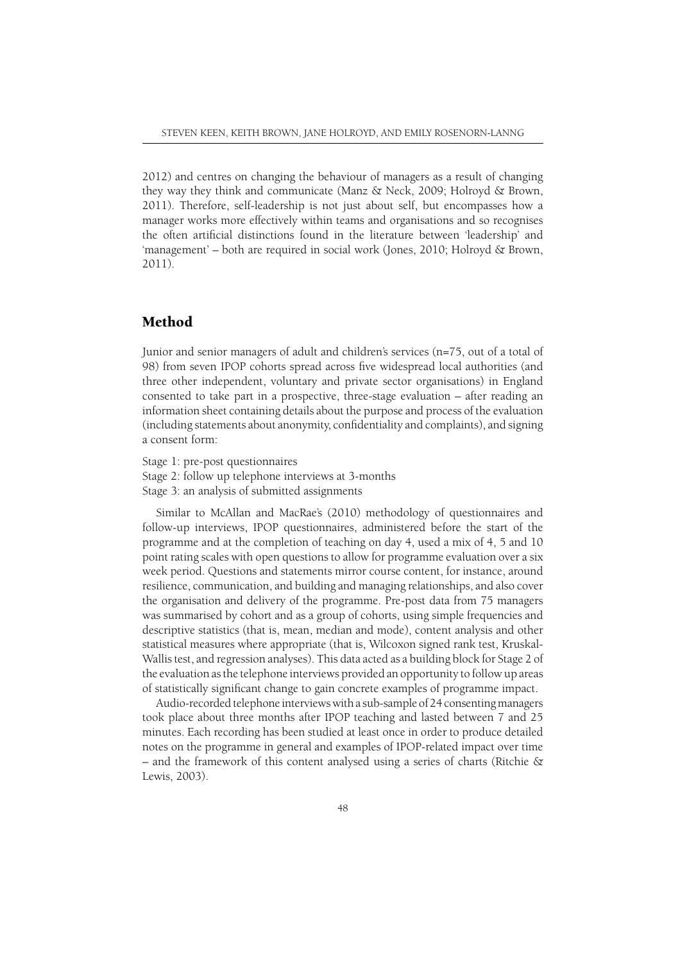2012) and centres on changing the behaviour of managers as a result of changing they way they think and communicate (Manz & Neck, 2009; Holroyd & Brown, 2011). Therefore, self-leadership is not just about self, but encompasses how a manager works more effectively within teams and organisations and so recognises the often artificial distinctions found in the literature between 'leadership' and 'management' – both are required in social work (Jones, 2010; Holroyd & Brown, 2011).

## Method

Junior and senior managers of adult and children's services (n=75, out of a total of 98) from seven IPOP cohorts spread across five widespread local authorities (and three other independent, voluntary and private sector organisations) in England consented to take part in a prospective, three-stage evaluation – after reading an information sheet containing details about the purpose and process of the evaluation (including statements about anonymity, confidentiality and complaints), and signing a consent form:

Stage 1: pre-post questionnaires Stage 2: follow up telephone interviews at 3-months Stage 3: an analysis of submitted assignments

Similar to McAllan and MacRae's (2010) methodology of questionnaires and follow-up interviews, IPOP questionnaires, administered before the start of the programme and at the completion of teaching on day 4, used a mix of 4, 5 and 10 point rating scales with open questions to allow for programme evaluation over a six week period. Questions and statements mirror course content, for instance, around resilience, communication, and building and managing relationships, and also cover the organisation and delivery of the programme. Pre-post data from 75 managers was summarised by cohort and as a group of cohorts, using simple frequencies and descriptive statistics (that is, mean, median and mode), content analysis and other statistical measures where appropriate (that is, Wilcoxon signed rank test, Kruskal-Wallis test, and regression analyses). This data acted as a building block for Stage 2 of the evaluation as the telephone interviews provided an opportunity to follow up areas of statistically significant change to gain concrete examples of programme impact.

Audio-recorded telephone interviews with a sub-sample of 24 consenting managers took place about three months after IPOP teaching and lasted between 7 and 25 minutes. Each recording has been studied at least once in order to produce detailed notes on the programme in general and examples of IPOP-related impact over time – and the framework of this content analysed using a series of charts (Ritchie  $\&$ Lewis, 2003).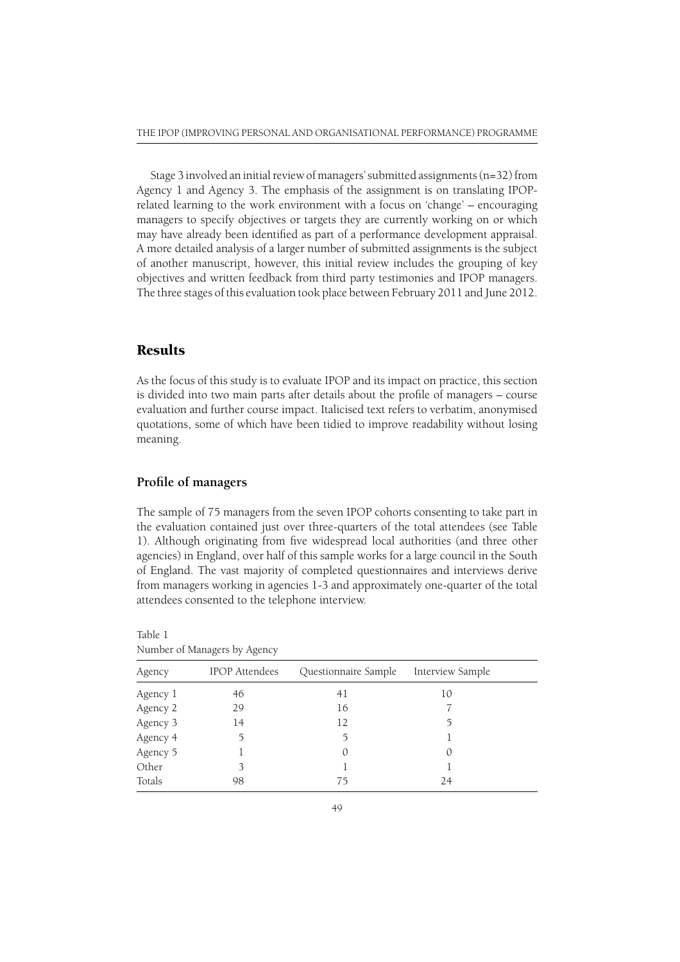Stage 3 involved an initial review of managers' submitted assignments (n=32) from Agency 1 and Agency 3. The emphasis of the assignment is on translating IPOPrelated learning to the work environment with a focus on 'change' – encouraging managers to specify objectives or targets they are currently working on or which may have already been identified as part of a performance development appraisal. A more detailed analysis of a larger number of submitted assignments is the subject of another manuscript, however, this initial review includes the grouping of key objectives and written feedback from third party testimonies and IPOP managers. The three stages of this evaluation took place between February 2011 and June 2012.

## Results

As the focus of this study is to evaluate IPOP and its impact on practice, this section is divided into two main parts after details about the profile of managers – course evaluation and further course impact. Italicised text refers to verbatim, anonymised quotations, some of which have been tidied to improve readability without losing meaning.

### Profile of managers

The sample of 75 managers from the seven IPOP cohorts consenting to take part in the evaluation contained just over three-quarters of the total attendees (see Table 1). Although originating from five widespread local authorities (and three other agencies) in England, over half of this sample works for a large council in the South of England. The vast majority of completed questionnaires and interviews derive from managers working in agencies 1-3 and approximately one-quarter of the total attendees consented to the telephone interview.

| Agency   | <b>IPOP</b> Attendees | Questionnaire Sample | Interview Sample |  |
|----------|-----------------------|----------------------|------------------|--|
| Agency 1 | 46                    | 41                   | 10               |  |
| Agency 2 | 29                    | 16                   |                  |  |
| Agency 3 | 14                    | 12                   | 5                |  |
| Agency 4 |                       |                      |                  |  |
| Agency 5 |                       | $\left($             | 0                |  |
| Other    |                       |                      |                  |  |
| Totals   | 98                    | 75                   | 24               |  |

Number of Managers by Agency

Table 1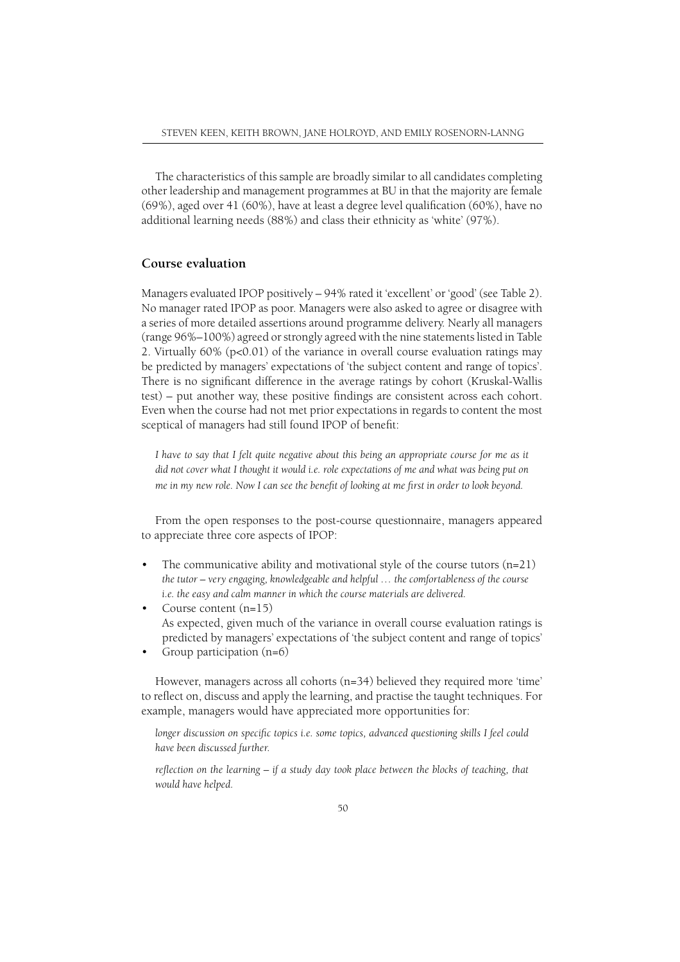The characteristics of this sample are broadly similar to all candidates completing other leadership and management programmes at BU in that the majority are female  $(69\%)$ , aged over 41  $(60\%)$ , have at least a degree level qualification  $(60\%)$ , have no additional learning needs (88%) and class their ethnicity as 'white' (97%).

## **Course evaluation**

Managers evaluated IPOP positively – 94% rated it 'excellent' or 'good' (see Table 2). No manager rated IPOP as poor. Managers were also asked to agree or disagree with a series of more detailed assertions around programme delivery. Nearly all managers (range 96%–100%) agreed or strongly agreed with the nine statements listed in Table 2. Virtually 60% (p<0.01) of the variance in overall course evaluation ratings may be predicted by managers' expectations of 'the subject content and range of topics'. There is no significant difference in the average ratings by cohort (Kruskal-Wallis  $test$ ) – put another way, these positive findings are consistent across each cohort. Even when the course had not met prior expectations in regards to content the most sceptical of managers had still found IPOP of benefit:

*I have to say that I felt quite negative about this being an appropriate course for me as it did not cover what I thought it would i.e. role expectations of me and what was being put on me in my new role. Now I can see the benefit of looking at me first in order to look beyond.* 

From the open responses to the post-course questionnaire, managers appeared to appreciate three core aspects of IPOP:

- The communicative ability and motivational style of the course tutors  $(n=21)$ *the tutor – very engaging, knowledgeable and helpful … the comfortableness of the course i.e. the easy and calm manner in which the course materials are delivered.*
- Course content (n=15) As expected, given much of the variance in overall course evaluation ratings is predicted by managers' expectations of 'the subject content and range of topics'
- Group participation (n=6)

However, managers across all cohorts (n=34) believed they required more 'time' to reflect on, discuss and apply the learning, and practise the taught techniques. For example, managers would have appreciated more opportunities for:

*longer discussion on specific topics i.e. some topics, advanced questioning skills I feel could have been discussed further.*

*reflection on the learning – if a study day took place between the blocks of teaching, that would have helped.*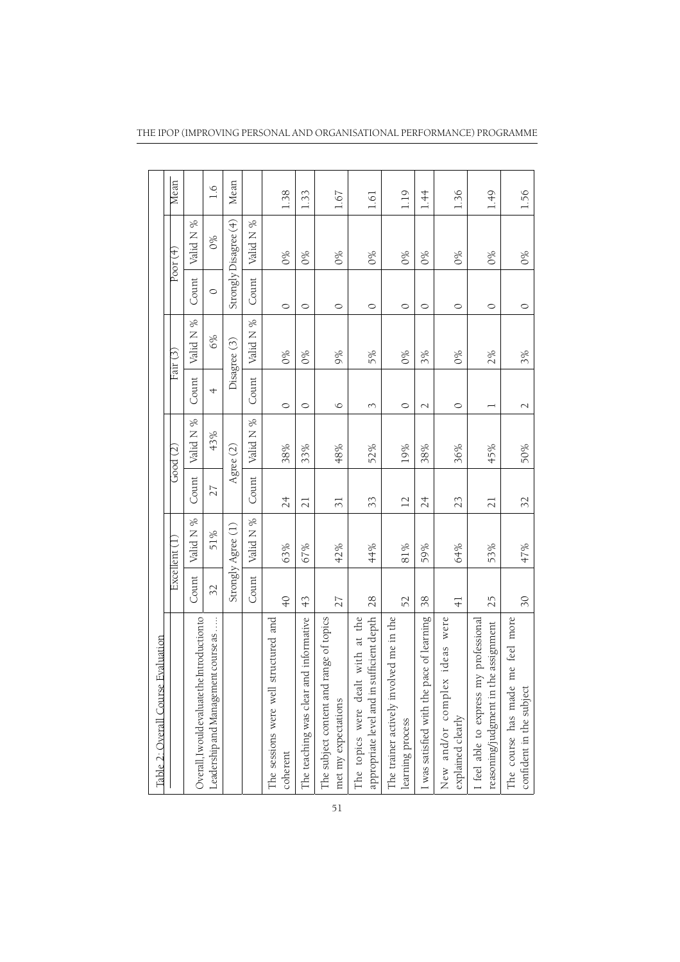| Evaluation<br>Table 2: Overall Course                                             |                          |                    |                          |            |                          |              |         |                       |               |
|-----------------------------------------------------------------------------------|--------------------------|--------------------|--------------------------|------------|--------------------------|--------------|---------|-----------------------|---------------|
|                                                                                   |                          | Excellent (1       |                          | Good $(2)$ |                          | Fair (3)     |         | Poor (4)              | Mean          |
| Overall, I would evaluate the Introduction to                                     | Count                    | Valid N %          | Count                    | Valid N %  | Count                    | Valid N %    | Count   | Valid N %             |               |
| Leadership and Management course as                                               | 32                       | 51%                | 27                       | 43%        | 4                        | 6%           | $\circ$ | 0%                    | $\frac{6}{1}$ |
|                                                                                   |                          | Strongly Agree (1) |                          | Agree (2)  |                          | Disagree (3) |         | Strongly Disagree (4) | Mean          |
|                                                                                   | Count                    | Valid N %          | Count                    | Valid N %  | Count                    | Valid N %    | Count   | Valid N %             |               |
| structured and<br>The sessions were well<br>coherent                              | $\overline{Q}$           | 63%                | 24                       | 38%        | $\circ$                  | $0\%$        | $\circ$ | 6%                    | 1.38          |
| The teaching was clear and informative                                            | $\frac{4}{3}$            | 67%                | 21                       | 33%        | $\circ$                  | $0\%$        | $\circ$ | $0\%$                 | 1.33          |
| range of topics<br>The subject content and<br>met my expectations                 | 27                       | 42%                | $\overline{\mathcal{E}}$ | 48%        | $\circ$                  | 9%           | $\circ$ | 0%                    | 1.67          |
| appropriate level and in sufficient depth<br>with at the<br>The topics were dealt | 28                       | 44%                | 33                       | 52%        | 3                        | 5%           | $\circ$ | $0\%$                 | 1.61          |
| The trainer actively involved me in the<br>learning process                       | 52                       | 81%                | $\overline{\mathbb{L}}$  | 19%        | $\circ$                  | 0%           | $\circ$ | $0\%$                 | 1.19          |
| I was satisfied with the pace of learning                                         | 38                       | 59%                | 24                       | 38%        | $\overline{\mathcal{C}}$ | 3%           | $\circ$ | $0\%$                 | 1.44          |
| ideas were<br>New and/or complex<br>explained clearly                             | $\frac{4}{1}$            | 64%                | 23                       | 36%        | $\circ$                  | 0%           | $\circ$ | 0%                    | 1.36          |
| I feel able to express my professional<br>reasoning/judgment in the assignment    | 25                       | 53%                | $\overline{21}$          | 45%        |                          | 2%           | $\circ$ | $0\%$                 | 1.49          |
| me feel more<br>The course has made<br>confident in the subject                   | $\overline{\mathcal{E}}$ | 47%                | 32                       | 50%        | $\sim$                   | 3%           | $\circ$ | $0\%$                 | 1.56          |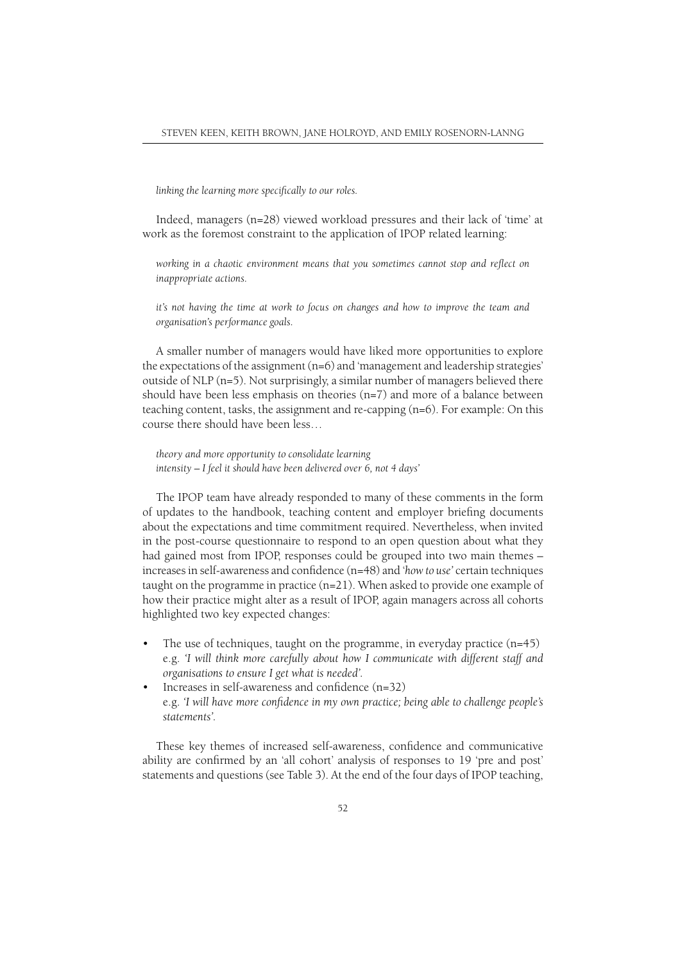linking the learning more specifically to our roles.

Indeed, managers (n=28) viewed workload pressures and their lack of 'time' at work as the foremost constraint to the application of IPOP related learning:

*working in a chaotic environment means that you sometimes cannot stop and reflect on inappropriate actions.*

*it's not having the time at work to focus on changes and how to improve the team and organisation's performance goals.*

A smaller number of managers would have liked more opportunities to explore the expectations of the assignment  $(n=6)$  and 'management and leadership strategies' outside of NLP (n=5). Not surprisingly, a similar number of managers believed there should have been less emphasis on theories (n=7) and more of a balance between teaching content, tasks, the assignment and re-capping (n=6). For example: On this course there should have been less…

*theory and more opportunity to consolidate learning intensity – I feel it should have been delivered over 6, not 4 days'*

The IPOP team have already responded to many of these comments in the form of updates to the handbook, teaching content and employer briefing documents about the expectations and time commitment required. Nevertheless, when invited in the post-course questionnaire to respond to an open question about what they had gained most from IPOP, responses could be grouped into two main themes – increases in self-awareness and confidence (n=48) and '*how to use*' certain techniques taught on the programme in practice (n=21). When asked to provide one example of how their practice might alter as a result of IPOP, again managers across all cohorts highlighted two key expected changes:

- The use of techniques, taught on the programme, in everyday practice  $(n=45)$  e.g. *'I will think more carefully about how I communicate with different staff and organisations to ensure I get what is needed'.*
- Increases in self-awareness and confidence (n=32) e.g. *'I will have more confidence in my own practice; being able to challenge people's statements'.*

These key themes of increased self-awareness, confidence and communicative ability are confirmed by an 'all cohort' analysis of responses to 19 'pre and post' statements and questions (see Table 3). At the end of the four days of IPOP teaching,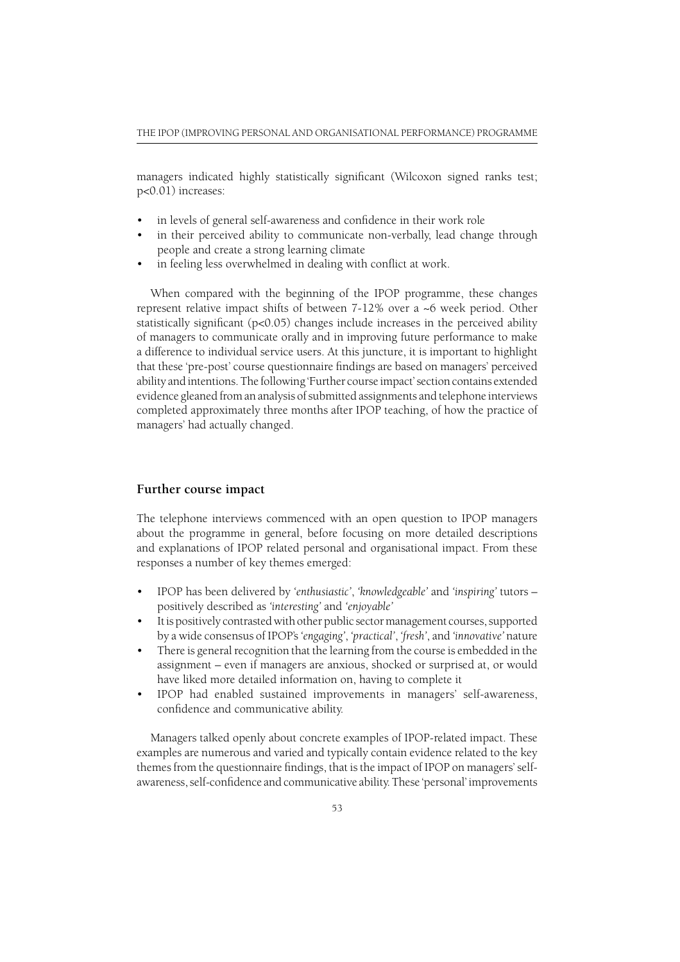managers indicated highly statistically significant (Wilcoxon signed ranks test; p<0.01) increases:

- in levels of general self-awareness and confidence in their work role
- in their perceived ability to communicate non-verbally, lead change through people and create a strong learning climate
- in feeling less overwhelmed in dealing with conflict at work.

When compared with the beginning of the IPOP programme, these changes represent relative impact shifts of between 7-12% over a ~6 week period. Other statistically significant ( $p<0.05$ ) changes include increases in the perceived ability of managers to communicate orally and in improving future performance to make a difference to individual service users. At this juncture, it is important to highlight that these 'pre-post' course questionnaire findings are based on managers' perceived ability and intentions. The following 'Further course impact' section contains extended evidence gleaned from an analysis of submitted assignments and telephone interviews completed approximately three months after IPOP teaching, of how the practice of managers' had actually changed.

#### **Further course impact**

The telephone interviews commenced with an open question to IPOP managers about the programme in general, before focusing on more detailed descriptions and explanations of IPOP related personal and organisational impact. From these responses a number of key themes emerged:

- IPOP has been delivered by *'enthusiastic'*, *'knowledgeable'* and *'inspiring'* tutors positively described as *'interesting'* and *'enjoyable'*
- It is positively contrasted with other public sector management courses, supported by a wide consensus of IPOP's *'engaging'*, *'practical'*, *'fresh'*, and *'innovative'* nature
- There is general recognition that the learning from the course is embedded in the assignment – even if managers are anxious, shocked or surprised at, or would have liked more detailed information on, having to complete it
- IPOP had enabled sustained improvements in managers' self-awareness, confidence and communicative ability.

Managers talked openly about concrete examples of IPOP-related impact. These examples are numerous and varied and typically contain evidence related to the key themes from the questionnaire findings, that is the impact of IPOP on managers' selfawareness, self-confidence and communicative ability. These 'personal' improvements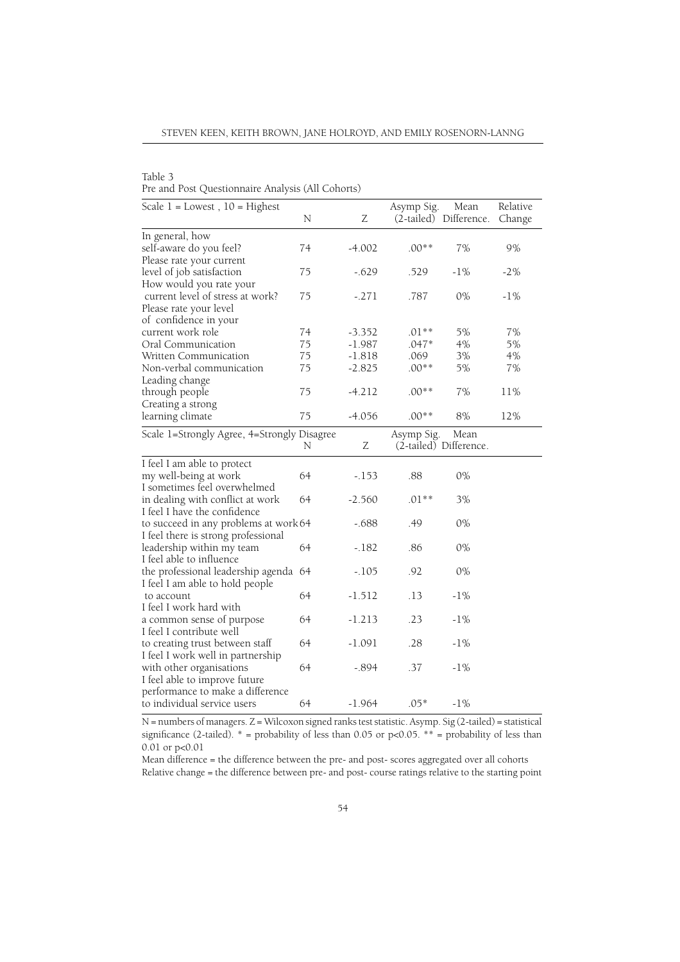STEVEN KEEN, KEITH BROWN, JANE HOLROYD, AND EMILY ROSENORN-LANNG

Table 3

Pre and Post Questionnaire Analysis (All Cohorts)

| Scale $1 =$ Lowest, $10 =$ Highest          | N  | Ζ        | Asymp Sig. | Mean<br>(2-tailed) Difference. | Relative<br>Change |
|---------------------------------------------|----|----------|------------|--------------------------------|--------------------|
| In general, how                             |    |          |            |                                |                    |
| self-aware do you feel?                     | 74 | $-4.002$ | $.00**$    | 7%                             | 9%                 |
| Please rate your current                    |    |          |            |                                |                    |
| level of job satisfaction                   | 75 | $-.629$  | .529       | $-1\%$                         | $-2%$              |
| How would you rate your                     |    |          |            |                                |                    |
| current level of stress at work?            | 75 | $-.271$  | .787       | 0%                             | $-1\%$             |
| Please rate your level                      |    |          |            |                                |                    |
| of confidence in your                       |    |          |            |                                |                    |
| current work role                           | 74 | $-3.352$ | $.01**$    | 5%                             | 7%                 |
| Oral Communication                          | 75 | $-1.987$ | .047*      | 4%                             | 5%                 |
| Written Communication                       | 75 | $-1.818$ | .069       | 3%                             | $4\%$              |
| Non-verbal communication                    | 75 | $-2.825$ | $.00**$    | 5%                             | 7%                 |
| Leading change                              |    |          |            |                                |                    |
| through people                              | 75 | $-4.212$ | $.00**$    | 7%                             | 11%                |
| Creating a strong                           |    |          |            |                                |                    |
| learning climate                            | 75 | $-4.056$ | $.00**$    | $8\%$                          | 12%                |
| Scale 1=Strongly Agree, 4=Strongly Disagree |    |          | Asymp Sig. | Mean                           |                    |
|                                             | N  | Ζ        |            | (2-tailed) Difference.         |                    |
| I feel I am able to protect                 |    |          |            |                                |                    |
| my well-being at work                       | 64 | $-.153$  | .88        | 0%                             |                    |
| I sometimes feel overwhelmed                |    |          |            |                                |                    |
| in dealing with conflict at work            | 64 | $-2.560$ | $.01**$    | 3%                             |                    |
| I feel I have the confidence                |    |          |            |                                |                    |
| to succeed in any problems at work 64       |    | $-.688$  | .49        | 0%                             |                    |
| I feel there is strong professional         |    |          |            |                                |                    |
| leadership within my team                   | 64 | $-.182$  | .86        | 0%                             |                    |
| I feel able to influence                    |    |          |            |                                |                    |
| the professional leadership agenda 64       |    | $-.105$  | .92        | 0%                             |                    |
| I feel I am able to hold people             |    |          |            |                                |                    |
| to account                                  | 64 | $-1.512$ | .13        | $-1\%$                         |                    |
| I feel I work hard with                     |    |          |            |                                |                    |
| a common sense of purpose                   | 64 | $-1.213$ | .23        | $-1\%$                         |                    |
| I feel I contribute well                    |    |          |            |                                |                    |
| to creating trust between staff             | 64 | $-1.091$ | .28        | $-1\%$                         |                    |
| I feel I work well in partnership           |    |          |            |                                |                    |
| with other organisations                    | 64 | $-.894$  | .37        | $-1\%$                         |                    |
| I feel able to improve future               |    |          |            |                                |                    |
| performance to make a difference            |    |          |            |                                |                    |
| to individual service users                 | 64 | $-1.964$ | $.05*$     | $-1\%$                         |                    |

N = numbers of managers. Z = Wilcoxon signed ranks test statistic. Asymp. Sig (2-tailed) = statistical significance (2-tailed).  $*$  = probability of less than 0.05 or p<0.05.  $*$  = probability of less than 0.01 or p<0.01

Mean difference = the difference between the pre- and post- scores aggregated over all cohorts Relative change = the difference between pre- and post- course ratings relative to the starting point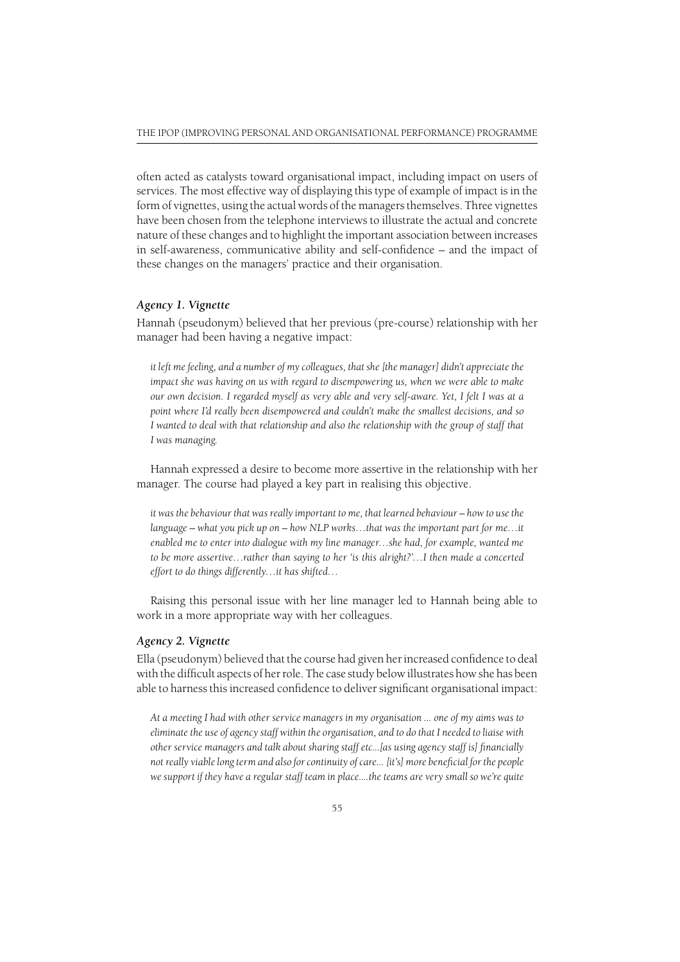often acted as catalysts toward organisational impact, including impact on users of services. The most effective way of displaying this type of example of impact is in the form of vignettes, using the actual words of the managers themselves. Three vignettes have been chosen from the telephone interviews to illustrate the actual and concrete nature of these changes and to highlight the important association between increases in self-awareness, communicative ability and self-confidence  $-$  and the impact of these changes on the managers' practice and their organisation.

#### *Agency 1. Vignette*

Hannah (pseudonym) believed that her previous (pre-course) relationship with her manager had been having a negative impact:

*it left me feeling, and a number of my colleagues, that she [the manager] didn't appreciate the impact she was having on us with regard to disempowering us, when we were able to make our own decision. I regarded myself as very able and very self-aware. Yet, I felt I was at a point where I'd really been disempowered and couldn't make the smallest decisions, and so I wanted to deal with that relationship and also the relationship with the group of staff that I was managing.*

Hannah expressed a desire to become more assertive in the relationship with her manager. The course had played a key part in realising this objective.

*it was the behaviour that was really important to me, that learned behaviour – how to use the language – what you pick up on – how NLP works…that was the important part for me…it enabled me to enter into dialogue with my line manager…she had, for example, wanted me to be more assertive…rather than saying to her 'is this alright?'…I then made a concerted effort to do things differently…it has shifted…*

Raising this personal issue with her line manager led to Hannah being able to work in a more appropriate way with her colleagues.

#### *Agency 2. Vignette*

Ella (pseudonym) believed that the course had given her increased confidence to deal with the difficult aspects of her role. The case study below illustrates how she has been able to harness this increased confidence to deliver significant organisational impact:

*At a meeting I had with other service managers in my organisation ... one of my aims was to eliminate the use of agency staff within the organisation, and to do that I needed to liaise with other service managers and talk about sharing staff etc...[as using agency staff is] fi nancially*  not really viable long term and also for continuity of care... [it's] more beneficial for the people *we support if they have a regular staff team in place....the teams are very small so we're quite*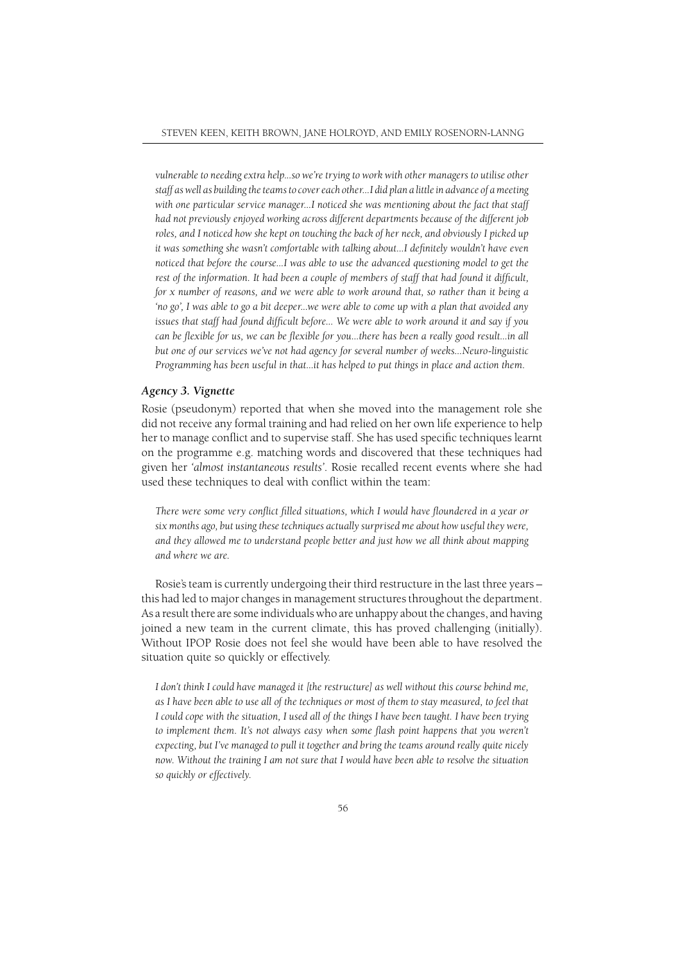*vulnerable to needing extra help...so we're trying to work with other managers to utilise other staff as well as building the teams to cover each other...I did plan a little in advance of a meeting with one particular service manager...I noticed she was mentioning about the fact that staff had not previously enjoyed working across different departments because of the different job roles, and I noticed how she kept on touching the back of her neck, and obviously I picked up*  it was something she wasn't comfortable with talking about...I definitely wouldn't have even *noticed that before the course...I was able to use the advanced questioning model to get the rest of the information. It had been a couple of members of staff that had found it difficult, for x number of reasons, and we were able to work around that, so rather than it being a 'no go', I was able to go a bit deeper...we were able to come up with a plan that avoided any*  issues that staff had found difficult before... We were able to work around it and say if you *can be flexible for us, we can be flexible for you...there has been a really good result...in all but one of our services we've not had agency for several number of weeks...Neuro-linguistic Programming has been useful in that...it has helped to put things in place and action them.*

#### *Agency 3. Vignette*

Rosie (pseudonym) reported that when she moved into the management role she did not receive any formal training and had relied on her own life experience to help her to manage conflict and to supervise staff. She has used specific techniques learnt on the programme e.g. matching words and discovered that these techniques had given her *'almost instantaneous results'*. Rosie recalled recent events where she had used these techniques to deal with conflict within the team:

There were some very conflict filled situations, which I would have floundered in a year or *six months ago, but using these techniques actually surprised me about how useful they were, and they allowed me to understand people better and just how we all think about mapping and where we are.*

Rosie's team is currently undergoing their third restructure in the last three years – this had led to major changes in management structures throughout the department. As a result there are some individuals who are unhappy about the changes, and having joined a new team in the current climate, this has proved challenging (initially). Without IPOP Rosie does not feel she would have been able to have resolved the situation quite so quickly or effectively.

*I don't think I could have managed it [the restructure] as well without this course behind me, as I have been able to use all of the techniques or most of them to stay measured, to feel that I could cope with the situation, I used all of the things I have been taught. I have been trying*  to implement them. It's not always easy when some flash point happens that you weren't *expecting, but I've managed to pull it together and bring the teams around really quite nicely now. Without the training I am not sure that I would have been able to resolve the situation so quickly or effectively.*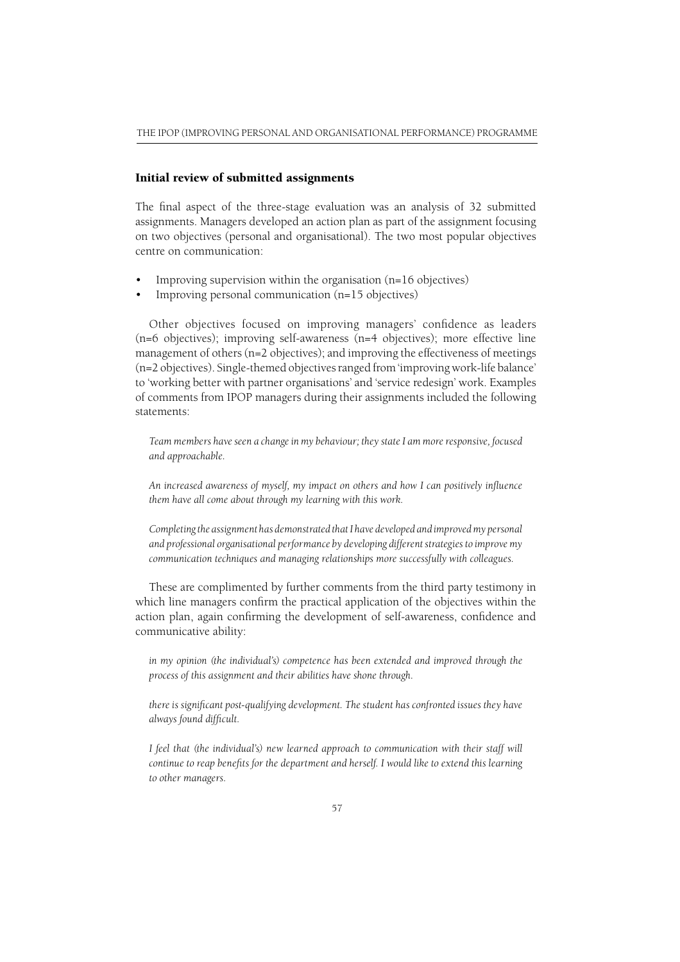#### Initial review of submitted assignments

The final aspect of the three-stage evaluation was an analysis of 32 submitted assignments. Managers developed an action plan as part of the assignment focusing on two objectives (personal and organisational). The two most popular objectives centre on communication:

- Improving supervision within the organisation (n=16 objectives)
- Improving personal communication (n=15 objectives)

Other objectives focused on improving managers' confidence as leaders (n=6 objectives); improving self-awareness (n=4 objectives); more effective line management of others (n=2 objectives); and improving the effectiveness of meetings (n=2 objectives). Single-themed objectives ranged from 'improving work-life balance' to 'working better with partner organisations' and 'service redesign' work. Examples of comments from IPOP managers during their assignments included the following statements:

*Team members have seen a change in my behaviour; they state I am more responsive, focused and approachable.*

*An increased awareness of myself, my impact on others and how I can positively infl uence them have all come about through my learning with this work.*

*Completing the assignment has demonstrated that I have developed and improved my personal and professional organisational performance by developing different strategies to improve my communication techniques and managing relationships more successfully with colleagues.*

These are complimented by further comments from the third party testimony in which line managers confirm the practical application of the objectives within the action plan, again confirming the development of self-awareness, confidence and communicative ability:

*in my opinion (the individual's) competence has been extended and improved through the process of this assignment and their abilities have shone through.*

there is significant post-qualifying development. The student has confronted issues they have *always found difficult.* 

*I feel that (the individual's) new learned approach to communication with their staff will continue to reap benefits for the department and herself. I would like to extend this learning to other managers.*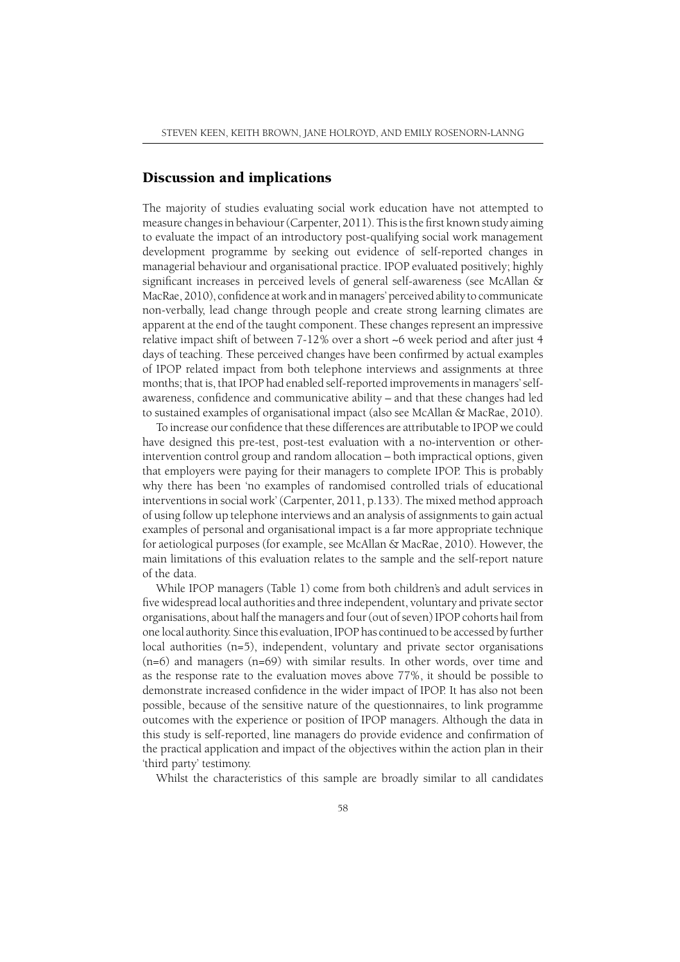## Discussion and implications

The majority of studies evaluating social work education have not attempted to measure changes in behaviour (Carpenter, 2011). This is the first known study aiming to evaluate the impact of an introductory post-qualifying social work management development programme by seeking out evidence of self-reported changes in managerial behaviour and organisational practice. IPOP evaluated positively; highly significant increases in perceived levels of general self-awareness (see McAllan & MacRae, 2010), confidence at work and in managers' perceived ability to communicate non-verbally, lead change through people and create strong learning climates are apparent at the end of the taught component. These changes represent an impressive relative impact shift of between 7-12% over a short ~6 week period and after just 4 days of teaching. These perceived changes have been confirmed by actual examples of IPOP related impact from both telephone interviews and assignments at three months; that is, that IPOP had enabled self-reported improvements in managers' selfawareness, confidence and communicative ability – and that these changes had led to sustained examples of organisational impact (also see McAllan & MacRae, 2010).

To increase our confidence that these differences are attributable to IPOP we could have designed this pre-test, post-test evaluation with a no-intervention or otherintervention control group and random allocation – both impractical options, given that employers were paying for their managers to complete IPOP. This is probably why there has been 'no examples of randomised controlled trials of educational interventions in social work' (Carpenter, 2011, p.133). The mixed method approach of using follow up telephone interviews and an analysis of assignments to gain actual examples of personal and organisational impact is a far more appropriate technique for aetiological purposes (for example, see McAllan & MacRae, 2010). However, the main limitations of this evaluation relates to the sample and the self-report nature of the data.

While IPOP managers (Table 1) come from both children's and adult services in five widespread local authorities and three independent, voluntary and private sector organisations, about half the managers and four (out of seven) IPOP cohorts hail from one local authority. Since this evaluation, IPOP has continued to be accessed by further local authorities  $(n=5)$ , independent, voluntary and private sector organisations (n=6) and managers (n=69) with similar results. In other words, over time and as the response rate to the evaluation moves above 77%, it should be possible to demonstrate increased confidence in the wider impact of IPOP. It has also not been possible, because of the sensitive nature of the questionnaires, to link programme outcomes with the experience or position of IPOP managers. Although the data in this study is self-reported, line managers do provide evidence and confirmation of the practical application and impact of the objectives within the action plan in their 'third party' testimony.

Whilst the characteristics of this sample are broadly similar to all candidates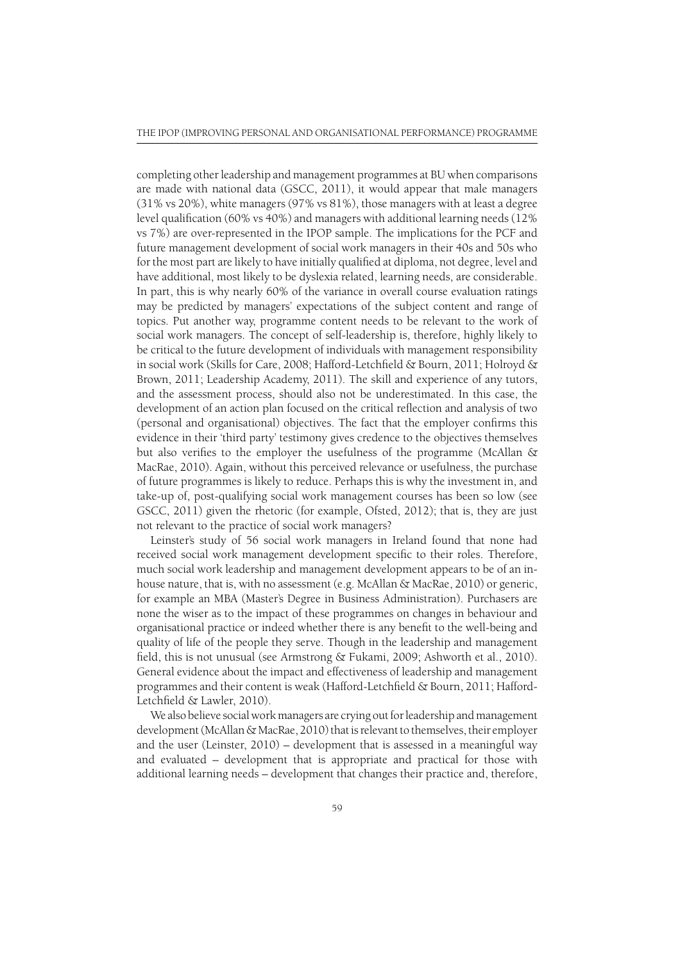completing other leadership and management programmes at BU when comparisons are made with national data (GSCC, 2011), it would appear that male managers (31% vs 20%), white managers (97% vs 81%), those managers with at least a degree level qualification (60% vs 40%) and managers with additional learning needs (12% vs 7%) are over-represented in the IPOP sample. The implications for the PCF and future management development of social work managers in their 40s and 50s who for the most part are likely to have initially qualified at diploma, not degree, level and have additional, most likely to be dyslexia related, learning needs, are considerable. In part, this is why nearly 60% of the variance in overall course evaluation ratings may be predicted by managers' expectations of the subject content and range of topics. Put another way, programme content needs to be relevant to the work of social work managers. The concept of self-leadership is, therefore, highly likely to be critical to the future development of individuals with management responsibility in social work (Skills for Care, 2008; Hafford-Letchfield & Bourn, 2011; Holroyd & Brown, 2011; Leadership Academy, 2011). The skill and experience of any tutors, and the assessment process, should also not be underestimated. In this case, the development of an action plan focused on the critical reflection and analysis of two (personal and organisational) objectives. The fact that the employer confirms this evidence in their 'third party' testimony gives credence to the objectives themselves but also verifies to the employer the usefulness of the programme (McAllan  $\&$ MacRae, 2010). Again, without this perceived relevance or usefulness, the purchase of future programmes is likely to reduce. Perhaps this is why the investment in, and take-up of, post-qualifying social work management courses has been so low (see GSCC, 2011) given the rhetoric (for example, Ofsted, 2012); that is, they are just not relevant to the practice of social work managers?

Leinster's study of 56 social work managers in Ireland found that none had received social work management development specific to their roles. Therefore, much social work leadership and management development appears to be of an inhouse nature, that is, with no assessment (e.g. McAllan & MacRae, 2010) or generic, for example an MBA (Master's Degree in Business Administration). Purchasers are none the wiser as to the impact of these programmes on changes in behaviour and organisational practice or indeed whether there is any benefi t to the well-being and quality of life of the people they serve. Though in the leadership and management field, this is not unusual (see Armstrong  $\&$  Fukami, 2009; Ashworth et al., 2010). General evidence about the impact and effectiveness of leadership and management programmes and their content is weak (Hafford-Letchfield  $\&$  Bourn, 2011; Hafford-Letchfield & Lawler, 2010).

We also believe social work managers are crying out for leadership and management development (McAllan & MacRae, 2010) that is relevant to themselves, their employer and the user (Leinster, 2010) – development that is assessed in a meaningful way and evaluated – development that is appropriate and practical for those with additional learning needs – development that changes their practice and, therefore,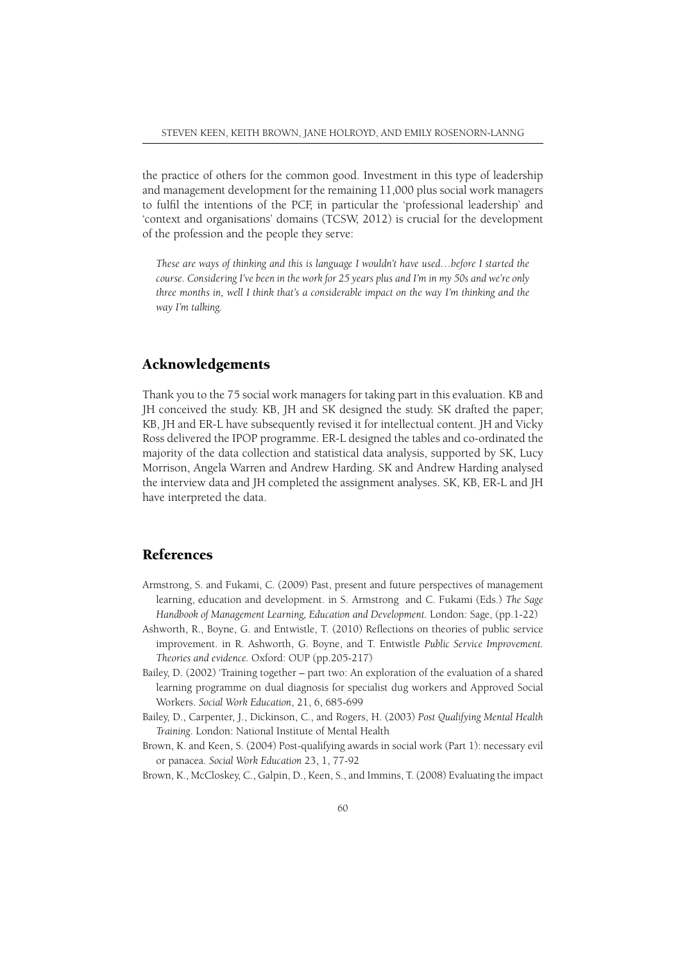the practice of others for the common good. Investment in this type of leadership and management development for the remaining 11,000 plus social work managers to fulfi l the intentions of the PCF, in particular the 'professional leadership' and 'context and organisations' domains (TCSW, 2012) is crucial for the development of the profession and the people they serve:

*These are ways of thinking and this is language I wouldn't have used…before I started the course. Considering I've been in the work for 25 years plus and I'm in my 50s and we're only three months in, well I think that's a considerable impact on the way I'm thinking and the way I'm talking.*

## Acknowledgements

Thank you to the 75 social work managers for taking part in this evaluation. KB and JH conceived the study. KB, JH and SK designed the study. SK drafted the paper; KB, JH and ER-L have subsequently revised it for intellectual content. JH and Vicky Ross delivered the IPOP programme. ER-L designed the tables and co-ordinated the majority of the data collection and statistical data analysis, supported by SK, Lucy Morrison, Angela Warren and Andrew Harding. SK and Andrew Harding analysed the interview data and JH completed the assignment analyses. SK, KB, ER-L and JH have interpreted the data.

## References

- Armstrong, S. and Fukami, C. (2009) Past, present and future perspectives of management learning, education and development. in S. Armstrong and C. Fukami (Eds.) *The Sage Handbook of Management Learning, Education and Development.* London: Sage, (pp.1-22)
- Ashworth, R., Boyne, G. and Entwistle, T. (2010) Reflections on theories of public service improvement. in R. Ashworth, G. Boyne, and T. Entwistle *Public Service Improvement. Theories and evidence.* Oxford: OUP (pp.205-217)
- Bailey, D. (2002) 'Training together part two: An exploration of the evaluation of a shared learning programme on dual diagnosis for specialist dug workers and Approved Social Workers. *Social Work Education*, 21, 6, 685-699
- Bailey, D., Carpenter, J., Dickinson, C., and Rogers, H. (2003) *Post Qualifying Mental Health Training*. London: National Institute of Mental Health
- Brown, K. and Keen, S. (2004) Post-qualifying awards in social work (Part 1): necessary evil or panacea. *Social Work Education* 23, 1, 77-92

Brown, K., McCloskey, C., Galpin, D., Keen, S., and Immins, T. (2008) Evaluating the impact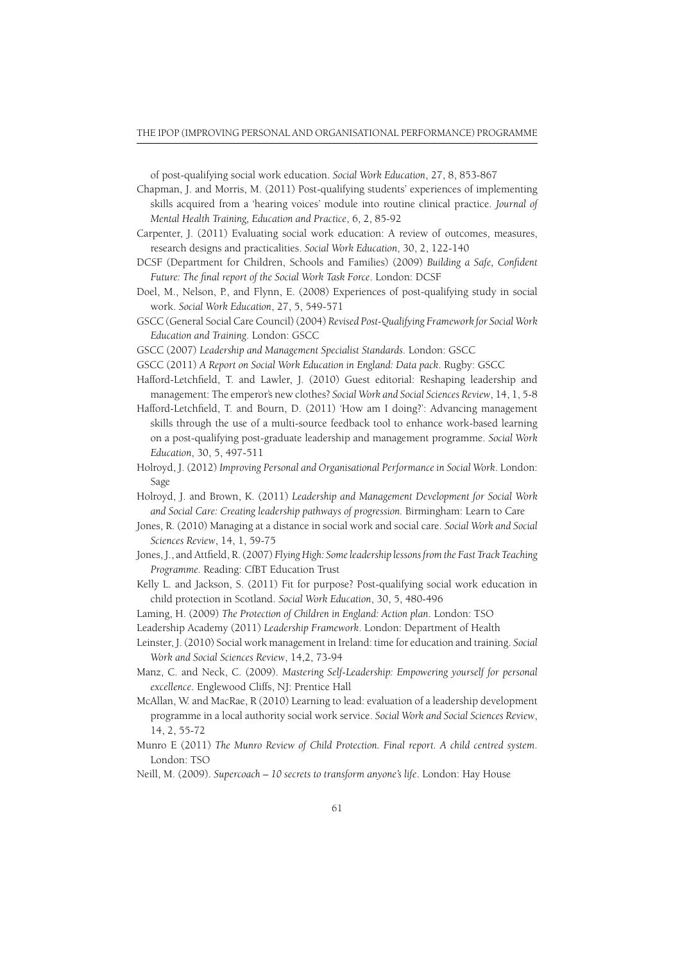of post-qualifying social work education. *Social Work Education*, 27, 8, 853-867

- Chapman, J. and Morris, M. (2011) Post-qualifying students' experiences of implementing skills acquired from a 'hearing voices' module into routine clinical practice. *Journal of Mental Health Training, Education and Practice*, 6, 2, 85-92
- Carpenter, J. (2011) Evaluating social work education: A review of outcomes, measures, research designs and practicalities. *Social Work Education*, 30, 2, 122-140
- DCSF (Department for Children, Schools and Families) (2009) *Building a Safe, Confident* Future: The final report of the Social Work Task Force. London: DCSF
- Doel, M., Nelson, P., and Flynn, E. (2008) Experiences of post-qualifying study in social work. *Social Work Education*, 27, 5, 549-571
- GSCC (General Social Care Council) (2004) *Revised Post-Qualifying Framework for Social Work Education and Training*. London: GSCC
- GSCC (2007) *Leadership and Management Specialist Standards*. London: GSCC
- GSCC (2011) *A Report on Social Work Education in England: Data pack*. Rugby: GSCC
- Hafford-Letchfield, T. and Lawler, J. (2010) Guest editorial: Reshaping leadership and management: The emperor's new clothes? *Social Work and Social Sciences Review*, 14, 1, 5-8
- Hafford-Letchfield, T. and Bourn, D. (2011) 'How am I doing?': Advancing management skills through the use of a multi-source feedback tool to enhance work-based learning on a post-qualifying post-graduate leadership and management programme. *Social Work Education*, 30, 5, 497-511
- Holroyd, J. (2012) *Improving Personal and Organisational Performance in Social Work*. London: Sage
- Holroyd, J. and Brown, K. (2011) *Leadership and Management Development for Social Work and Social Care: Creating leadership pathways of progression.* Birmingham: Learn to Care
- Jones, R. (2010) Managing at a distance in social work and social care. *Social Work and Social Sciences Review*, 14, 1, 59-75
- Jones, J., and Attfield, R. (2007) *Flying High: Some leadership lessons from the Fast Track Teaching Programme.* Reading: CfBT Education Trust
- Kelly L. and Jackson, S. (2011) Fit for purpose? Post-qualifying social work education in child protection in Scotland. *Social Work Education*, 30, 5, 480-496
- Laming, H. (2009) *The Protection of Children in England: Action plan*. London: TSO
- Leadership Academy (2011) *Leadership Framework*. London: Department of Health
- Leinster, J. (2010) Social work management in Ireland: time for education and training. *Social Work and Social Sciences Review*, 14,2, 73-94
- Manz, C. and Neck, C. (2009). *Mastering Self-Leadership: Empowering yourself for personal excellence*. Englewood Cliffs, NJ: Prentice Hall
- McAllan, W. and MacRae, R (2010) Learning to lead: evaluation of a leadership development programme in a local authority social work service. *Social Work and Social Sciences Review*, 14, 2, 55-72
- Munro E (2011) *The Munro Review of Child Protection. Final report. A child centred system*. London: TSO
- Neill, M. (2009). *Supercoach 10 secrets to transform anyone's life*. London: Hay House